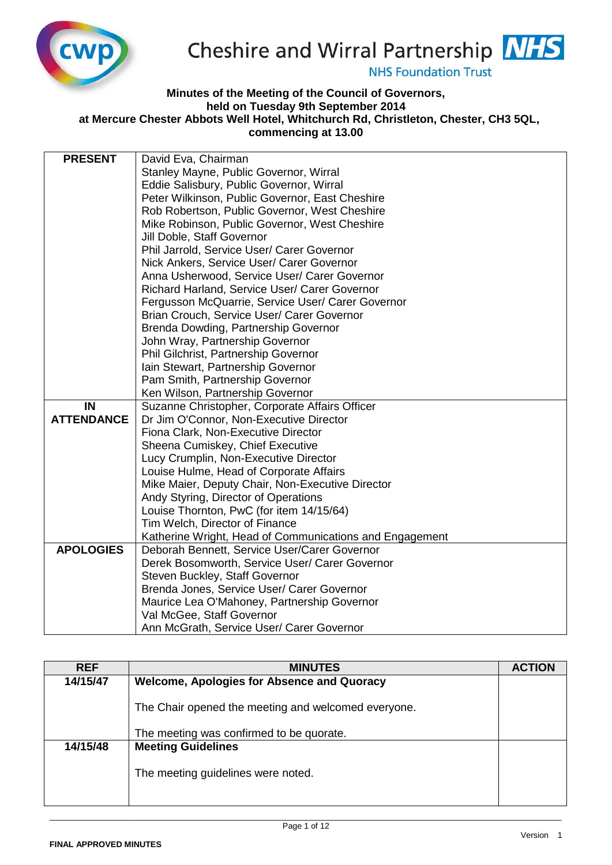

## Cheshire and Wirral Partnership **NHS**

**NHS Foundation Trust** 

## **Minutes of the Meeting of the Council of Governors, held on Tuesday 9th September 2014 at Mercure Chester Abbots Well Hotel, Whitchurch Rd, Christleton, Chester, CH3 5QL, commencing at 13.00**

| <b>PRESENT</b>    | David Eva, Chairman                                     |
|-------------------|---------------------------------------------------------|
|                   | Stanley Mayne, Public Governor, Wirral                  |
|                   | Eddie Salisbury, Public Governor, Wirral                |
|                   | Peter Wilkinson, Public Governor, East Cheshire         |
|                   | Rob Robertson, Public Governor, West Cheshire           |
|                   | Mike Robinson, Public Governor, West Cheshire           |
|                   | Jill Doble, Staff Governor                              |
|                   | Phil Jarrold, Service User/ Carer Governor              |
|                   | Nick Ankers, Service User/ Carer Governor               |
|                   | Anna Usherwood, Service User/ Carer Governor            |
|                   | Richard Harland, Service User/ Carer Governor           |
|                   | Fergusson McQuarrie, Service User/ Carer Governor       |
|                   | Brian Crouch, Service User/ Carer Governor              |
|                   | Brenda Dowding, Partnership Governor                    |
|                   | John Wray, Partnership Governor                         |
|                   | Phil Gilchrist, Partnership Governor                    |
|                   | Iain Stewart, Partnership Governor                      |
|                   | Pam Smith, Partnership Governor                         |
|                   | Ken Wilson, Partnership Governor                        |
| IN                | Suzanne Christopher, Corporate Affairs Officer          |
| <b>ATTENDANCE</b> | Dr Jim O'Connor, Non-Executive Director                 |
|                   | Fiona Clark, Non-Executive Director                     |
|                   | Sheena Cumiskey, Chief Executive                        |
|                   | Lucy Crumplin, Non-Executive Director                   |
|                   | Louise Hulme, Head of Corporate Affairs                 |
|                   | Mike Maier, Deputy Chair, Non-Executive Director        |
|                   | Andy Styring, Director of Operations                    |
|                   | Louise Thornton, PwC (for item 14/15/64)                |
|                   | Tim Welch, Director of Finance                          |
|                   | Katherine Wright, Head of Communications and Engagement |
| <b>APOLOGIES</b>  | Deborah Bennett, Service User/Carer Governor            |
|                   | Derek Bosomworth, Service User/ Carer Governor          |
|                   | Steven Buckley, Staff Governor                          |
|                   | Brenda Jones, Service User/ Carer Governor              |
|                   | Maurice Lea O'Mahoney, Partnership Governor             |
|                   | Val McGee, Staff Governor                               |
|                   | Ann McGrath, Service User/ Carer Governor               |

| <b>REF</b> | <b>MINUTES</b>                                      | <b>ACTION</b> |
|------------|-----------------------------------------------------|---------------|
| 14/15/47   | <b>Welcome, Apologies for Absence and Quoracy</b>   |               |
|            | The Chair opened the meeting and welcomed everyone. |               |
|            | The meeting was confirmed to be quorate.            |               |
| 14/15/48   | <b>Meeting Guidelines</b>                           |               |
|            | The meeting guidelines were noted.                  |               |
|            |                                                     |               |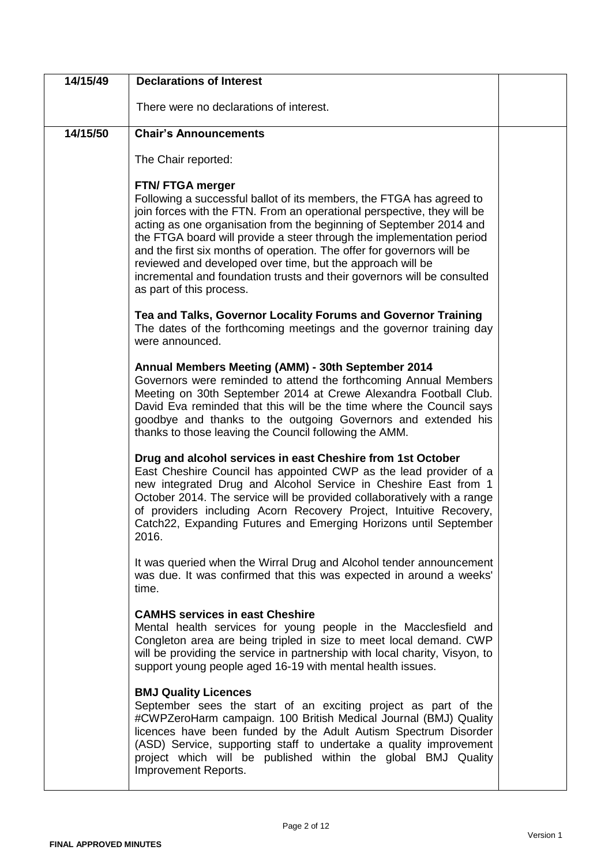| 14/15/49 | <b>Declarations of Interest</b>                                                                                                                                                                                                                                                                                                                                                                                                                                                                                                                                    |  |
|----------|--------------------------------------------------------------------------------------------------------------------------------------------------------------------------------------------------------------------------------------------------------------------------------------------------------------------------------------------------------------------------------------------------------------------------------------------------------------------------------------------------------------------------------------------------------------------|--|
|          | There were no declarations of interest.                                                                                                                                                                                                                                                                                                                                                                                                                                                                                                                            |  |
| 14/15/50 | <b>Chair's Announcements</b>                                                                                                                                                                                                                                                                                                                                                                                                                                                                                                                                       |  |
|          | The Chair reported:                                                                                                                                                                                                                                                                                                                                                                                                                                                                                                                                                |  |
|          | FTN/ FTGA merger<br>Following a successful ballot of its members, the FTGA has agreed to<br>join forces with the FTN. From an operational perspective, they will be<br>acting as one organisation from the beginning of September 2014 and<br>the FTGA board will provide a steer through the implementation period<br>and the first six months of operation. The offer for governors will be<br>reviewed and developed over time, but the approach will be<br>incremental and foundation trusts and their governors will be consulted<br>as part of this process. |  |
|          | Tea and Talks, Governor Locality Forums and Governor Training<br>The dates of the forthcoming meetings and the governor training day<br>were announced.                                                                                                                                                                                                                                                                                                                                                                                                            |  |
|          | Annual Members Meeting (AMM) - 30th September 2014<br>Governors were reminded to attend the forthcoming Annual Members<br>Meeting on 30th September 2014 at Crewe Alexandra Football Club.<br>David Eva reminded that this will be the time where the Council says<br>goodbye and thanks to the outgoing Governors and extended his<br>thanks to those leaving the Council following the AMM.                                                                                                                                                                      |  |
|          | Drug and alcohol services in east Cheshire from 1st October<br>East Cheshire Council has appointed CWP as the lead provider of a<br>new integrated Drug and Alcohol Service in Cheshire East from 1<br>October 2014. The service will be provided collaboratively with a range<br>of providers including Acorn Recovery Project, Intuitive Recovery,<br>Catch22, Expanding Futures and Emerging Horizons until September<br>2016.                                                                                                                                  |  |
|          | It was queried when the Wirral Drug and Alcohol tender announcement<br>was due. It was confirmed that this was expected in around a weeks'<br>time.                                                                                                                                                                                                                                                                                                                                                                                                                |  |
|          | <b>CAMHS services in east Cheshire</b><br>Mental health services for young people in the Macclesfield and<br>Congleton area are being tripled in size to meet local demand. CWP<br>will be providing the service in partnership with local charity, Visyon, to<br>support young people aged 16-19 with mental health issues.                                                                                                                                                                                                                                       |  |
|          | <b>BMJ Quality Licences</b><br>September sees the start of an exciting project as part of the<br>#CWPZeroHarm campaign. 100 British Medical Journal (BMJ) Quality<br>licences have been funded by the Adult Autism Spectrum Disorder<br>(ASD) Service, supporting staff to undertake a quality improvement<br>project which will be published within the global BMJ Quality<br>Improvement Reports.                                                                                                                                                                |  |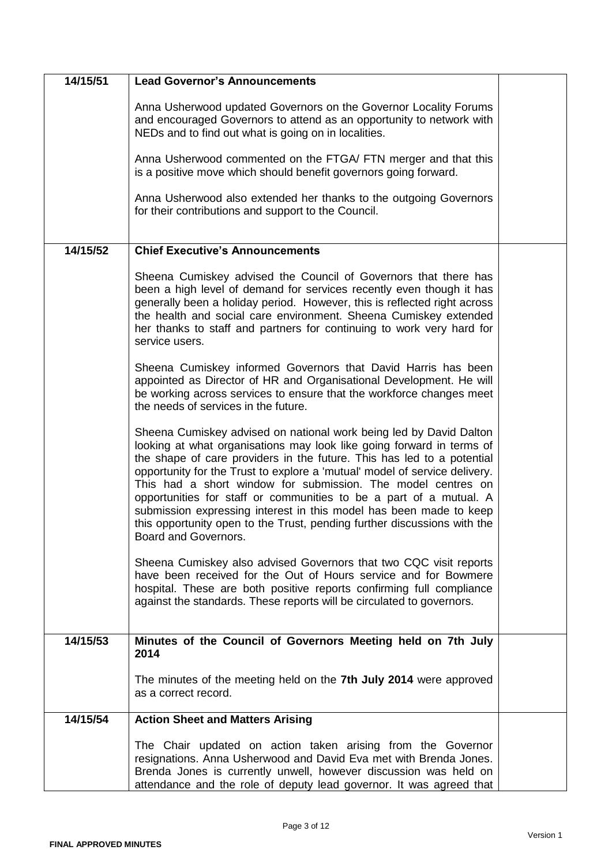| 14/15/51 | <b>Lead Governor's Announcements</b>                                                                                                                                                                                                                                                                                                                                                                                                                                                                                                                                                                                |  |
|----------|---------------------------------------------------------------------------------------------------------------------------------------------------------------------------------------------------------------------------------------------------------------------------------------------------------------------------------------------------------------------------------------------------------------------------------------------------------------------------------------------------------------------------------------------------------------------------------------------------------------------|--|
|          | Anna Usherwood updated Governors on the Governor Locality Forums<br>and encouraged Governors to attend as an opportunity to network with<br>NEDs and to find out what is going on in localities.                                                                                                                                                                                                                                                                                                                                                                                                                    |  |
|          | Anna Usherwood commented on the FTGA/ FTN merger and that this<br>is a positive move which should benefit governors going forward.                                                                                                                                                                                                                                                                                                                                                                                                                                                                                  |  |
|          | Anna Usherwood also extended her thanks to the outgoing Governors<br>for their contributions and support to the Council.                                                                                                                                                                                                                                                                                                                                                                                                                                                                                            |  |
| 14/15/52 | <b>Chief Executive's Announcements</b>                                                                                                                                                                                                                                                                                                                                                                                                                                                                                                                                                                              |  |
|          |                                                                                                                                                                                                                                                                                                                                                                                                                                                                                                                                                                                                                     |  |
|          | Sheena Cumiskey advised the Council of Governors that there has<br>been a high level of demand for services recently even though it has<br>generally been a holiday period. However, this is reflected right across<br>the health and social care environment. Sheena Cumiskey extended<br>her thanks to staff and partners for continuing to work very hard for<br>service users.                                                                                                                                                                                                                                  |  |
|          | Sheena Cumiskey informed Governors that David Harris has been<br>appointed as Director of HR and Organisational Development. He will<br>be working across services to ensure that the workforce changes meet<br>the needs of services in the future.                                                                                                                                                                                                                                                                                                                                                                |  |
|          | Sheena Cumiskey advised on national work being led by David Dalton<br>looking at what organisations may look like going forward in terms of<br>the shape of care providers in the future. This has led to a potential<br>opportunity for the Trust to explore a 'mutual' model of service delivery.<br>This had a short window for submission. The model centres on<br>opportunities for staff or communities to be a part of a mutual. A<br>submission expressing interest in this model has been made to keep<br>this opportunity open to the Trust, pending further discussions with the<br>Board and Governors. |  |
|          | Sheena Cumiskey also advised Governors that two CQC visit reports<br>have been received for the Out of Hours service and for Bowmere<br>hospital. These are both positive reports confirming full compliance<br>against the standards. These reports will be circulated to governors.                                                                                                                                                                                                                                                                                                                               |  |
| 14/15/53 | Minutes of the Council of Governors Meeting held on 7th July                                                                                                                                                                                                                                                                                                                                                                                                                                                                                                                                                        |  |
|          | 2014                                                                                                                                                                                                                                                                                                                                                                                                                                                                                                                                                                                                                |  |
|          | The minutes of the meeting held on the 7th July 2014 were approved<br>as a correct record.                                                                                                                                                                                                                                                                                                                                                                                                                                                                                                                          |  |
| 14/15/54 | <b>Action Sheet and Matters Arising</b>                                                                                                                                                                                                                                                                                                                                                                                                                                                                                                                                                                             |  |
|          | The Chair updated on action taken arising from the Governor<br>resignations. Anna Usherwood and David Eva met with Brenda Jones.<br>Brenda Jones is currently unwell, however discussion was held on<br>attendance and the role of deputy lead governor. It was agreed that                                                                                                                                                                                                                                                                                                                                         |  |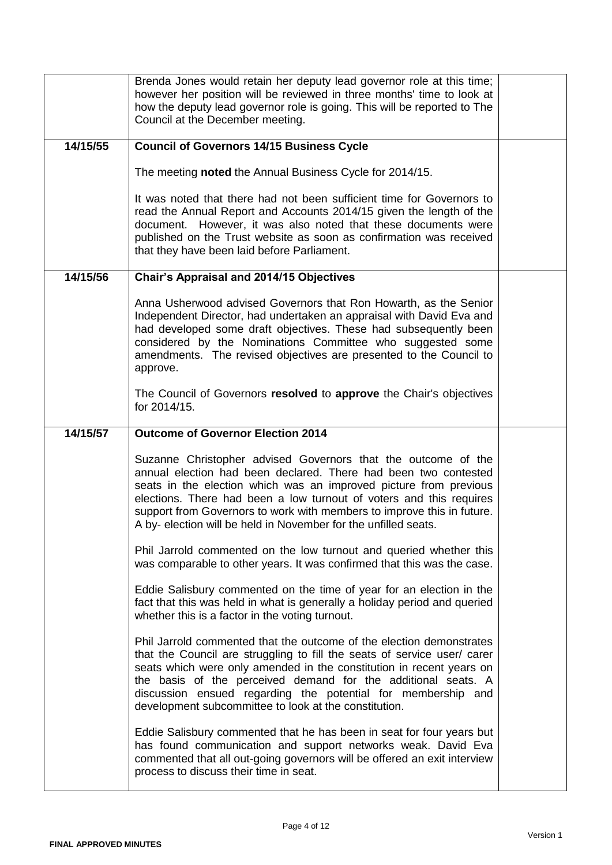|          | Brenda Jones would retain her deputy lead governor role at this time;<br>however her position will be reviewed in three months' time to look at<br>how the deputy lead governor role is going. This will be reported to The<br>Council at the December meeting.                                                                                                                                                           |  |
|----------|---------------------------------------------------------------------------------------------------------------------------------------------------------------------------------------------------------------------------------------------------------------------------------------------------------------------------------------------------------------------------------------------------------------------------|--|
| 14/15/55 | <b>Council of Governors 14/15 Business Cycle</b>                                                                                                                                                                                                                                                                                                                                                                          |  |
|          | The meeting noted the Annual Business Cycle for 2014/15.                                                                                                                                                                                                                                                                                                                                                                  |  |
|          | It was noted that there had not been sufficient time for Governors to<br>read the Annual Report and Accounts 2014/15 given the length of the<br>document. However, it was also noted that these documents were<br>published on the Trust website as soon as confirmation was received<br>that they have been laid before Parliament.                                                                                      |  |
| 14/15/56 | <b>Chair's Appraisal and 2014/15 Objectives</b>                                                                                                                                                                                                                                                                                                                                                                           |  |
|          | Anna Usherwood advised Governors that Ron Howarth, as the Senior<br>Independent Director, had undertaken an appraisal with David Eva and<br>had developed some draft objectives. These had subsequently been<br>considered by the Nominations Committee who suggested some<br>amendments. The revised objectives are presented to the Council to<br>approve.                                                              |  |
|          | The Council of Governors resolved to approve the Chair's objectives<br>for 2014/15.                                                                                                                                                                                                                                                                                                                                       |  |
| 14/15/57 | <b>Outcome of Governor Election 2014</b>                                                                                                                                                                                                                                                                                                                                                                                  |  |
|          | Suzanne Christopher advised Governors that the outcome of the<br>annual election had been declared. There had been two contested<br>seats in the election which was an improved picture from previous<br>elections. There had been a low turnout of voters and this requires<br>support from Governors to work with members to improve this in future.<br>A by- election will be held in November for the unfilled seats. |  |
|          | Phil Jarrold commented on the low turnout and queried whether this<br>was comparable to other years. It was confirmed that this was the case.                                                                                                                                                                                                                                                                             |  |
|          | Eddie Salisbury commented on the time of year for an election in the<br>fact that this was held in what is generally a holiday period and queried<br>whether this is a factor in the voting turnout.                                                                                                                                                                                                                      |  |
|          | Phil Jarrold commented that the outcome of the election demonstrates<br>that the Council are struggling to fill the seats of service user/ carer<br>seats which were only amended in the constitution in recent years on<br>the basis of the perceived demand for the additional seats. A<br>discussion ensued regarding the potential for membership and<br>development subcommittee to look at the constitution.        |  |
|          | Eddie Salisbury commented that he has been in seat for four years but<br>has found communication and support networks weak. David Eva<br>commented that all out-going governors will be offered an exit interview<br>process to discuss their time in seat.                                                                                                                                                               |  |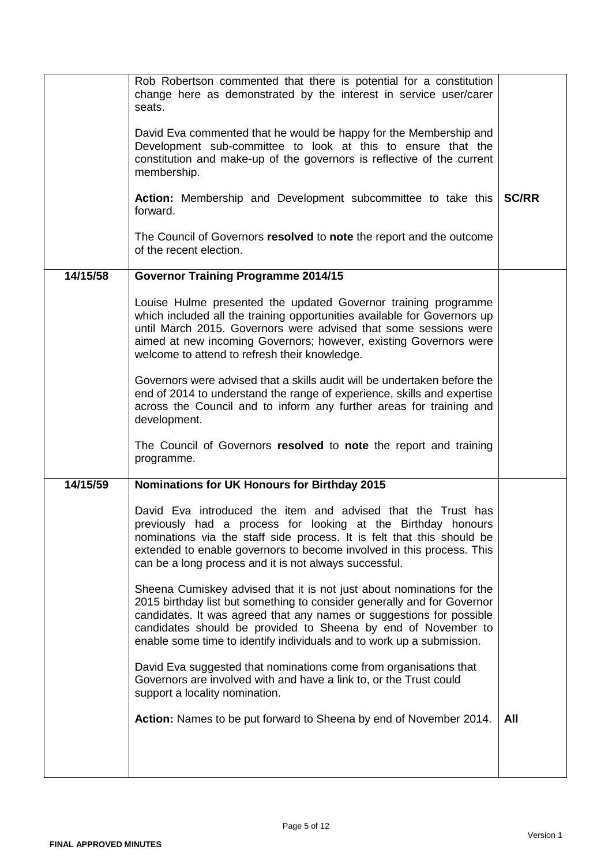|          | Rob Robertson commented that there is potential for a constitution<br>change here as demonstrated by the interest in service user/carer<br>seats.<br>David Eva commented that he would be happy for the Membership and<br>Development sub-committee to look at this to ensure that the<br>constitution and make-up of the governors is reflective of the current<br>membership. |              |
|----------|---------------------------------------------------------------------------------------------------------------------------------------------------------------------------------------------------------------------------------------------------------------------------------------------------------------------------------------------------------------------------------|--------------|
|          | Action: Membership and Development subcommittee to take this<br>forward.                                                                                                                                                                                                                                                                                                        | <b>SC/RR</b> |
|          | The Council of Governors resolved to note the report and the outcome<br>of the recent election.                                                                                                                                                                                                                                                                                 |              |
| 14/15/58 | <b>Governor Training Programme 2014/15</b>                                                                                                                                                                                                                                                                                                                                      |              |
|          | Louise Hulme presented the updated Governor training programme<br>which included all the training opportunities available for Governors up<br>until March 2015. Governors were advised that some sessions were<br>aimed at new incoming Governors; however, existing Governors were<br>welcome to attend to refresh their knowledge.                                            |              |
|          | Governors were advised that a skills audit will be undertaken before the<br>end of 2014 to understand the range of experience, skills and expertise<br>across the Council and to inform any further areas for training and<br>development.                                                                                                                                      |              |
|          | The Council of Governors resolved to note the report and training<br>programme.                                                                                                                                                                                                                                                                                                 |              |
| 14/15/59 | <b>Nominations for UK Honours for Birthday 2015</b>                                                                                                                                                                                                                                                                                                                             |              |
|          | David Eva introduced the item and advised that the Trust has<br>previously had a process for looking at the Birthday honours<br>nominations via the staff side process. It is felt that this should be<br>extended to enable governors to become involved in this process. This<br>can be a long process and it is not always successful.                                       |              |
|          | Sheena Cumiskey advised that it is not just about nominations for the<br>2015 birthday list but something to consider generally and for Governor<br>candidates. It was agreed that any names or suggestions for possible<br>candidates should be provided to Sheena by end of November to<br>enable some time to identify individuals and to work up a submission.              |              |
|          | David Eva suggested that nominations come from organisations that<br>Governors are involved with and have a link to, or the Trust could<br>support a locality nomination.                                                                                                                                                                                                       |              |
|          | Action: Names to be put forward to Sheena by end of November 2014.                                                                                                                                                                                                                                                                                                              | All          |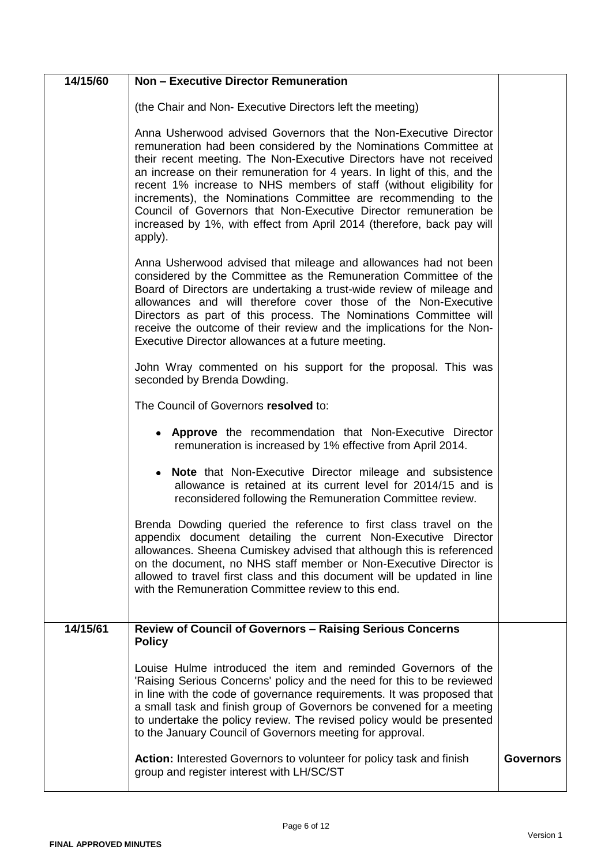| 14/15/60 | <b>Non - Executive Director Remuneration</b>                                                                                                                                                                                                                                                                                                                                                                                                                                                                                                                                              |                  |
|----------|-------------------------------------------------------------------------------------------------------------------------------------------------------------------------------------------------------------------------------------------------------------------------------------------------------------------------------------------------------------------------------------------------------------------------------------------------------------------------------------------------------------------------------------------------------------------------------------------|------------------|
|          | (the Chair and Non- Executive Directors left the meeting)                                                                                                                                                                                                                                                                                                                                                                                                                                                                                                                                 |                  |
|          | Anna Usherwood advised Governors that the Non-Executive Director<br>remuneration had been considered by the Nominations Committee at<br>their recent meeting. The Non-Executive Directors have not received<br>an increase on their remuneration for 4 years. In light of this, and the<br>recent 1% increase to NHS members of staff (without eligibility for<br>increments), the Nominations Committee are recommending to the<br>Council of Governors that Non-Executive Director remuneration be<br>increased by 1%, with effect from April 2014 (therefore, back pay will<br>apply). |                  |
|          | Anna Usherwood advised that mileage and allowances had not been<br>considered by the Committee as the Remuneration Committee of the<br>Board of Directors are undertaking a trust-wide review of mileage and<br>allowances and will therefore cover those of the Non-Executive<br>Directors as part of this process. The Nominations Committee will<br>receive the outcome of their review and the implications for the Non-<br>Executive Director allowances at a future meeting.                                                                                                        |                  |
|          | John Wray commented on his support for the proposal. This was<br>seconded by Brenda Dowding.                                                                                                                                                                                                                                                                                                                                                                                                                                                                                              |                  |
|          | The Council of Governors resolved to:                                                                                                                                                                                                                                                                                                                                                                                                                                                                                                                                                     |                  |
|          | • Approve the recommendation that Non-Executive Director<br>remuneration is increased by 1% effective from April 2014.                                                                                                                                                                                                                                                                                                                                                                                                                                                                    |                  |
|          | <b>Note</b> that Non-Executive Director mileage and subsistence<br>allowance is retained at its current level for 2014/15 and is<br>reconsidered following the Remuneration Committee review.                                                                                                                                                                                                                                                                                                                                                                                             |                  |
|          | Brenda Dowding queried the reference to first class travel on the<br>appendix document detailing the current Non-Executive Director<br>allowances. Sheena Cumiskey advised that although this is referenced<br>on the document, no NHS staff member or Non-Executive Director is<br>allowed to travel first class and this document will be updated in line<br>with the Remuneration Committee review to this end.                                                                                                                                                                        |                  |
| 14/15/61 | <b>Review of Council of Governors - Raising Serious Concerns</b><br><b>Policy</b>                                                                                                                                                                                                                                                                                                                                                                                                                                                                                                         |                  |
|          | Louise Hulme introduced the item and reminded Governors of the<br>'Raising Serious Concerns' policy and the need for this to be reviewed<br>in line with the code of governance requirements. It was proposed that<br>a small task and finish group of Governors be convened for a meeting<br>to undertake the policy review. The revised policy would be presented<br>to the January Council of Governors meeting for approval.                                                                                                                                                          |                  |
|          | Action: Interested Governors to volunteer for policy task and finish<br>group and register interest with LH/SC/ST                                                                                                                                                                                                                                                                                                                                                                                                                                                                         | <b>Governors</b> |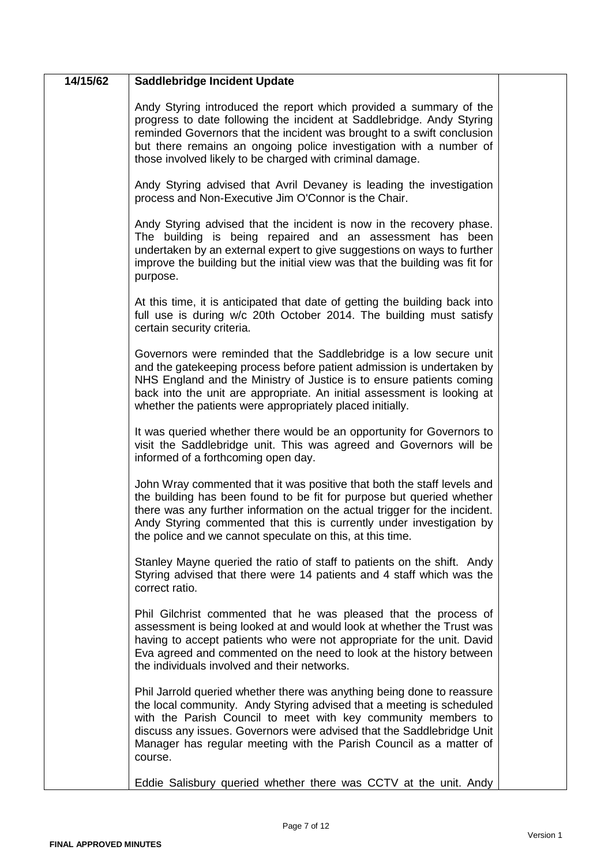| 14/15/62 | <b>Saddlebridge Incident Update</b>                                                                                                                                                                                                                                                                                                                                        |  |
|----------|----------------------------------------------------------------------------------------------------------------------------------------------------------------------------------------------------------------------------------------------------------------------------------------------------------------------------------------------------------------------------|--|
|          | Andy Styring introduced the report which provided a summary of the<br>progress to date following the incident at Saddlebridge. Andy Styring<br>reminded Governors that the incident was brought to a swift conclusion<br>but there remains an ongoing police investigation with a number of<br>those involved likely to be charged with criminal damage.                   |  |
|          | Andy Styring advised that Avril Devaney is leading the investigation<br>process and Non-Executive Jim O'Connor is the Chair.                                                                                                                                                                                                                                               |  |
|          | Andy Styring advised that the incident is now in the recovery phase.<br>The building is being repaired and an assessment has been<br>undertaken by an external expert to give suggestions on ways to further<br>improve the building but the initial view was that the building was fit for<br>purpose.                                                                    |  |
|          | At this time, it is anticipated that date of getting the building back into<br>full use is during w/c 20th October 2014. The building must satisfy<br>certain security criteria.                                                                                                                                                                                           |  |
|          | Governors were reminded that the Saddlebridge is a low secure unit<br>and the gatekeeping process before patient admission is undertaken by<br>NHS England and the Ministry of Justice is to ensure patients coming<br>back into the unit are appropriate. An initial assessment is looking at<br>whether the patients were appropriately placed initially.                |  |
|          | It was queried whether there would be an opportunity for Governors to<br>visit the Saddlebridge unit. This was agreed and Governors will be<br>informed of a forthcoming open day.                                                                                                                                                                                         |  |
|          | John Wray commented that it was positive that both the staff levels and<br>the building has been found to be fit for purpose but queried whether<br>there was any further information on the actual trigger for the incident.<br>Andy Styring commented that this is currently under investigation by<br>the police and we cannot speculate on this, at this time.         |  |
|          | Stanley Mayne queried the ratio of staff to patients on the shift. Andy<br>Styring advised that there were 14 patients and 4 staff which was the<br>correct ratio.                                                                                                                                                                                                         |  |
|          | Phil Gilchrist commented that he was pleased that the process of<br>assessment is being looked at and would look at whether the Trust was<br>having to accept patients who were not appropriate for the unit. David<br>Eva agreed and commented on the need to look at the history between<br>the individuals involved and their networks.                                 |  |
|          | Phil Jarrold queried whether there was anything being done to reassure<br>the local community. Andy Styring advised that a meeting is scheduled<br>with the Parish Council to meet with key community members to<br>discuss any issues. Governors were advised that the Saddlebridge Unit<br>Manager has regular meeting with the Parish Council as a matter of<br>course. |  |
|          | Eddie Salisbury queried whether there was CCTV at the unit. Andy                                                                                                                                                                                                                                                                                                           |  |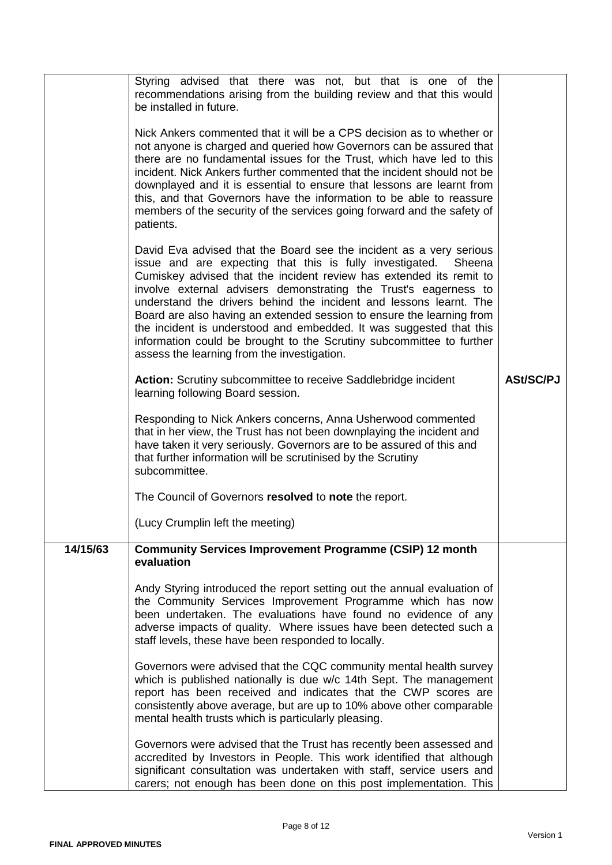|          | Styring advised that there was not, but that is one of the<br>recommendations arising from the building review and that this would<br>be installed in future.                                                                                                                                                                                                                                                                                                                                                                                                                                                                  |                  |
|----------|--------------------------------------------------------------------------------------------------------------------------------------------------------------------------------------------------------------------------------------------------------------------------------------------------------------------------------------------------------------------------------------------------------------------------------------------------------------------------------------------------------------------------------------------------------------------------------------------------------------------------------|------------------|
|          | Nick Ankers commented that it will be a CPS decision as to whether or<br>not anyone is charged and queried how Governors can be assured that<br>there are no fundamental issues for the Trust, which have led to this<br>incident. Nick Ankers further commented that the incident should not be<br>downplayed and it is essential to ensure that lessons are learnt from<br>this, and that Governors have the information to be able to reassure<br>members of the security of the services going forward and the safety of<br>patients.                                                                                      |                  |
|          | David Eva advised that the Board see the incident as a very serious<br>issue and are expecting that this is fully investigated. Sheena<br>Cumiskey advised that the incident review has extended its remit to<br>involve external advisers demonstrating the Trust's eagerness to<br>understand the drivers behind the incident and lessons learnt. The<br>Board are also having an extended session to ensure the learning from<br>the incident is understood and embedded. It was suggested that this<br>information could be brought to the Scrutiny subcommittee to further<br>assess the learning from the investigation. |                  |
|          | <b>Action:</b> Scrutiny subcommittee to receive Saddlebridge incident<br>learning following Board session.                                                                                                                                                                                                                                                                                                                                                                                                                                                                                                                     | <b>ASt/SC/PJ</b> |
|          | Responding to Nick Ankers concerns, Anna Usherwood commented<br>that in her view, the Trust has not been downplaying the incident and<br>have taken it very seriously. Governors are to be assured of this and<br>that further information will be scrutinised by the Scrutiny<br>subcommittee.                                                                                                                                                                                                                                                                                                                                |                  |
|          | The Council of Governors resolved to note the report.                                                                                                                                                                                                                                                                                                                                                                                                                                                                                                                                                                          |                  |
|          | (Lucy Crumplin left the meeting)                                                                                                                                                                                                                                                                                                                                                                                                                                                                                                                                                                                               |                  |
| 14/15/63 | <b>Community Services Improvement Programme (CSIP) 12 month</b><br>evaluation                                                                                                                                                                                                                                                                                                                                                                                                                                                                                                                                                  |                  |
|          | Andy Styring introduced the report setting out the annual evaluation of<br>the Community Services Improvement Programme which has now<br>been undertaken. The evaluations have found no evidence of any<br>adverse impacts of quality. Where issues have been detected such a<br>staff levels, these have been responded to locally.                                                                                                                                                                                                                                                                                           |                  |
|          | Governors were advised that the CQC community mental health survey<br>which is published nationally is due w/c 14th Sept. The management<br>report has been received and indicates that the CWP scores are<br>consistently above average, but are up to 10% above other comparable<br>mental health trusts which is particularly pleasing.                                                                                                                                                                                                                                                                                     |                  |
|          | Governors were advised that the Trust has recently been assessed and<br>accredited by Investors in People. This work identified that although<br>significant consultation was undertaken with staff, service users and<br>carers; not enough has been done on this post implementation. This                                                                                                                                                                                                                                                                                                                                   |                  |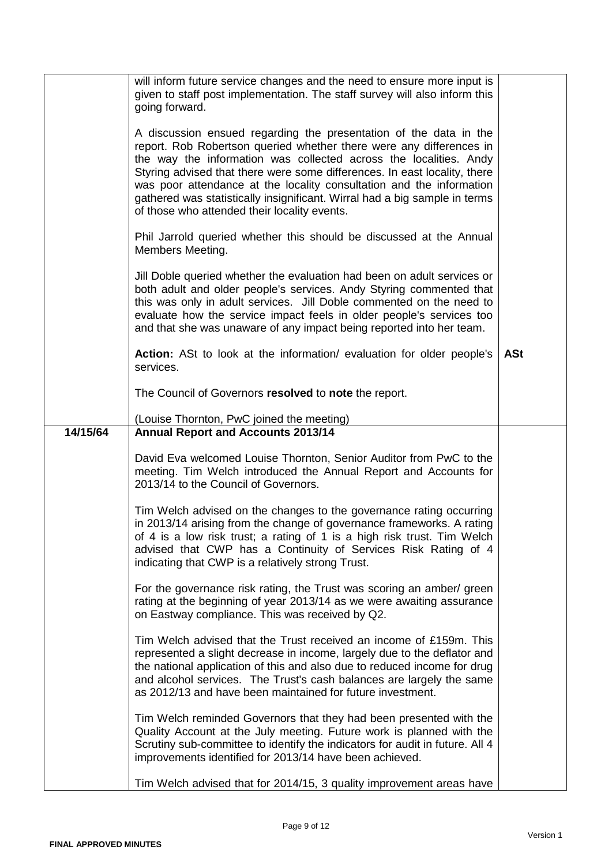|          | will inform future service changes and the need to ensure more input is<br>given to staff post implementation. The staff survey will also inform this                                                                                                                                                                                                                                                                                                                                            |            |
|----------|--------------------------------------------------------------------------------------------------------------------------------------------------------------------------------------------------------------------------------------------------------------------------------------------------------------------------------------------------------------------------------------------------------------------------------------------------------------------------------------------------|------------|
|          | going forward.                                                                                                                                                                                                                                                                                                                                                                                                                                                                                   |            |
|          | A discussion ensued regarding the presentation of the data in the<br>report. Rob Robertson queried whether there were any differences in<br>the way the information was collected across the localities. Andy<br>Styring advised that there were some differences. In east locality, there<br>was poor attendance at the locality consultation and the information<br>gathered was statistically insignificant. Wirral had a big sample in terms<br>of those who attended their locality events. |            |
|          | Phil Jarrold queried whether this should be discussed at the Annual<br>Members Meeting.                                                                                                                                                                                                                                                                                                                                                                                                          |            |
|          | Jill Doble queried whether the evaluation had been on adult services or<br>both adult and older people's services. Andy Styring commented that<br>this was only in adult services. Jill Doble commented on the need to<br>evaluate how the service impact feels in older people's services too<br>and that she was unaware of any impact being reported into her team.                                                                                                                           |            |
|          | <b>Action:</b> ASt to look at the information/ evaluation for older people's<br>services.                                                                                                                                                                                                                                                                                                                                                                                                        | <b>ASt</b> |
|          | The Council of Governors resolved to note the report.                                                                                                                                                                                                                                                                                                                                                                                                                                            |            |
|          | (Louise Thornton, PwC joined the meeting)                                                                                                                                                                                                                                                                                                                                                                                                                                                        |            |
| 14/15/64 | <b>Annual Report and Accounts 2013/14</b>                                                                                                                                                                                                                                                                                                                                                                                                                                                        |            |
|          | David Eva welcomed Louise Thornton, Senior Auditor from PwC to the<br>meeting. Tim Welch introduced the Annual Report and Accounts for<br>2013/14 to the Council of Governors.                                                                                                                                                                                                                                                                                                                   |            |
|          | Tim Welch advised on the changes to the governance rating occurring<br>in 2013/14 arising from the change of governance frameworks. A rating<br>of 4 is a low risk trust; a rating of 1 is a high risk trust. Tim Welch<br>advised that CWP has a Continuity of Services Risk Rating of 4<br>indicating that CWP is a relatively strong Trust.                                                                                                                                                   |            |
|          | For the governance risk rating, the Trust was scoring an amber/ green<br>rating at the beginning of year 2013/14 as we were awaiting assurance<br>on Eastway compliance. This was received by Q2.                                                                                                                                                                                                                                                                                                |            |
|          | Tim Welch advised that the Trust received an income of £159m. This<br>represented a slight decrease in income, largely due to the deflator and<br>the national application of this and also due to reduced income for drug<br>and alcohol services. The Trust's cash balances are largely the same<br>as 2012/13 and have been maintained for future investment.                                                                                                                                 |            |
|          | Tim Welch reminded Governors that they had been presented with the<br>Quality Account at the July meeting. Future work is planned with the<br>Scrutiny sub-committee to identify the indicators for audit in future. All 4<br>improvements identified for 2013/14 have been achieved.                                                                                                                                                                                                            |            |
|          | Tim Welch advised that for 2014/15, 3 quality improvement areas have                                                                                                                                                                                                                                                                                                                                                                                                                             |            |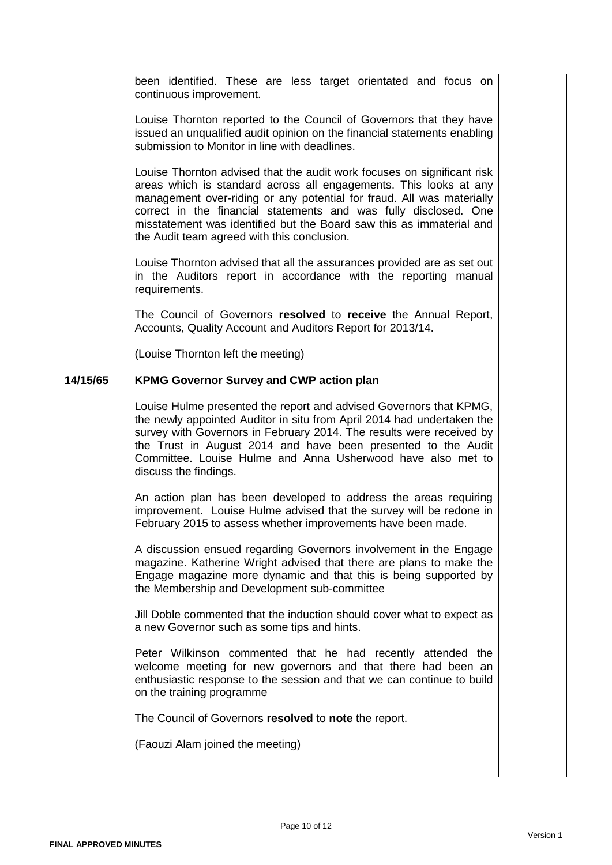|          | been identified. These are less target orientated and focus on<br>continuous improvement.                                                                                                                                                                                                                                                                                                                        |  |
|----------|------------------------------------------------------------------------------------------------------------------------------------------------------------------------------------------------------------------------------------------------------------------------------------------------------------------------------------------------------------------------------------------------------------------|--|
|          | Louise Thornton reported to the Council of Governors that they have<br>issued an unqualified audit opinion on the financial statements enabling<br>submission to Monitor in line with deadlines.                                                                                                                                                                                                                 |  |
|          | Louise Thornton advised that the audit work focuses on significant risk<br>areas which is standard across all engagements. This looks at any<br>management over-riding or any potential for fraud. All was materially<br>correct in the financial statements and was fully disclosed. One<br>misstatement was identified but the Board saw this as immaterial and<br>the Audit team agreed with this conclusion. |  |
|          | Louise Thornton advised that all the assurances provided are as set out<br>in the Auditors report in accordance with the reporting manual<br>requirements.                                                                                                                                                                                                                                                       |  |
|          | The Council of Governors resolved to receive the Annual Report,<br>Accounts, Quality Account and Auditors Report for 2013/14.                                                                                                                                                                                                                                                                                    |  |
|          | (Louise Thornton left the meeting)                                                                                                                                                                                                                                                                                                                                                                               |  |
| 14/15/65 | <b>KPMG Governor Survey and CWP action plan</b>                                                                                                                                                                                                                                                                                                                                                                  |  |
|          | Louise Hulme presented the report and advised Governors that KPMG,<br>the newly appointed Auditor in situ from April 2014 had undertaken the<br>survey with Governors in February 2014. The results were received by<br>the Trust in August 2014 and have been presented to the Audit<br>Committee. Louise Hulme and Anna Usherwood have also met to<br>discuss the findings.                                    |  |
|          | An action plan has been developed to address the areas requiring<br>improvement. Louise Hulme advised that the survey will be redone in<br>February 2015 to assess whether improvements have been made.                                                                                                                                                                                                          |  |
|          | A discussion ensued regarding Governors involvement in the Engage<br>magazine. Katherine Wright advised that there are plans to make the<br>Engage magazine more dynamic and that this is being supported by<br>the Membership and Development sub-committee                                                                                                                                                     |  |
|          | Jill Doble commented that the induction should cover what to expect as<br>a new Governor such as some tips and hints.                                                                                                                                                                                                                                                                                            |  |
|          | Peter Wilkinson commented that he had recently attended the<br>welcome meeting for new governors and that there had been an<br>enthusiastic response to the session and that we can continue to build<br>on the training programme                                                                                                                                                                               |  |
|          | The Council of Governors resolved to note the report.                                                                                                                                                                                                                                                                                                                                                            |  |
|          | (Faouzi Alam joined the meeting)                                                                                                                                                                                                                                                                                                                                                                                 |  |
|          |                                                                                                                                                                                                                                                                                                                                                                                                                  |  |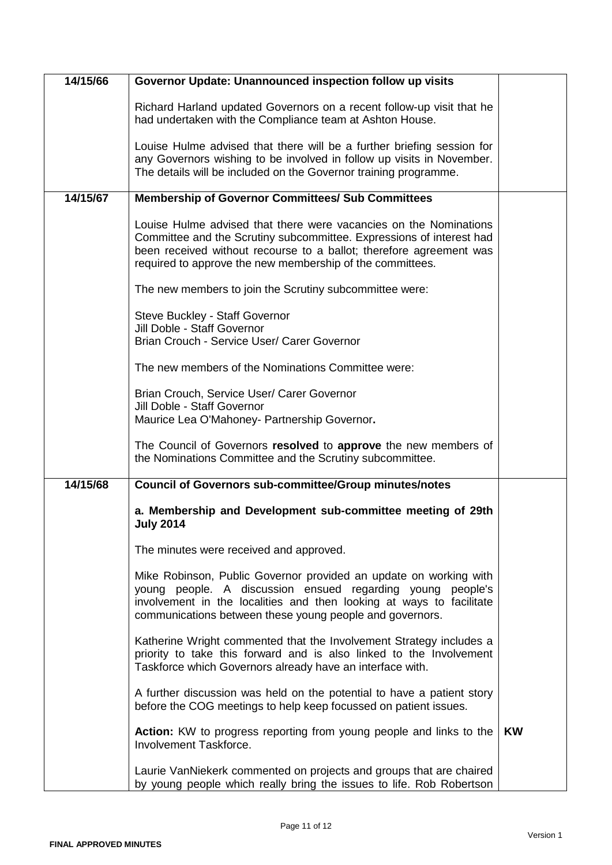| 14/15/66 | Governor Update: Unannounced inspection follow up visits                                                                                                                                                                                                                      |           |
|----------|-------------------------------------------------------------------------------------------------------------------------------------------------------------------------------------------------------------------------------------------------------------------------------|-----------|
|          | Richard Harland updated Governors on a recent follow-up visit that he<br>had undertaken with the Compliance team at Ashton House.                                                                                                                                             |           |
|          | Louise Hulme advised that there will be a further briefing session for<br>any Governors wishing to be involved in follow up visits in November.<br>The details will be included on the Governor training programme.                                                           |           |
| 14/15/67 | <b>Membership of Governor Committees/ Sub Committees</b>                                                                                                                                                                                                                      |           |
|          | Louise Hulme advised that there were vacancies on the Nominations<br>Committee and the Scrutiny subcommittee. Expressions of interest had<br>been received without recourse to a ballot; therefore agreement was<br>required to approve the new membership of the committees. |           |
|          | The new members to join the Scrutiny subcommittee were:                                                                                                                                                                                                                       |           |
|          | Steve Buckley - Staff Governor<br>Jill Doble - Staff Governor<br>Brian Crouch - Service User/ Carer Governor                                                                                                                                                                  |           |
|          |                                                                                                                                                                                                                                                                               |           |
|          | The new members of the Nominations Committee were:                                                                                                                                                                                                                            |           |
|          | Brian Crouch, Service User/ Carer Governor<br>Jill Doble - Staff Governor<br>Maurice Lea O'Mahoney- Partnership Governor.                                                                                                                                                     |           |
|          | The Council of Governors resolved to approve the new members of<br>the Nominations Committee and the Scrutiny subcommittee.                                                                                                                                                   |           |
| 14/15/68 | <b>Council of Governors sub-committee/Group minutes/notes</b>                                                                                                                                                                                                                 |           |
|          | a. Membership and Development sub-committee meeting of 29th<br><b>July 2014</b>                                                                                                                                                                                               |           |
|          | The minutes were received and approved.                                                                                                                                                                                                                                       |           |
|          | Mike Robinson, Public Governor provided an update on working with<br>young people. A discussion ensued regarding young people's<br>involvement in the localities and then looking at ways to facilitate<br>communications between these young people and governors.           |           |
|          | Katherine Wright commented that the Involvement Strategy includes a<br>priority to take this forward and is also linked to the Involvement<br>Taskforce which Governors already have an interface with.                                                                       |           |
|          | A further discussion was held on the potential to have a patient story<br>before the COG meetings to help keep focussed on patient issues.                                                                                                                                    |           |
|          | Action: KW to progress reporting from young people and links to the<br>Involvement Taskforce.                                                                                                                                                                                 | <b>KW</b> |
|          | Laurie VanNiekerk commented on projects and groups that are chaired<br>by young people which really bring the issues to life. Rob Robertson                                                                                                                                   |           |